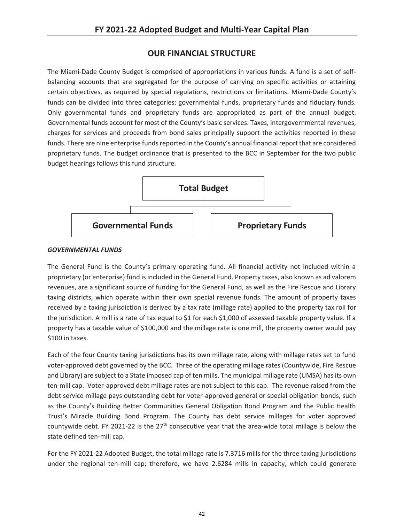## **OUR FINANCIAL STRUCTURE**

The Miami-Dade County Budget is comprised of appropriations in various funds. A fund is a set of selfbalancing accounts that are segregated for the purpose of carrying on specific activities or attaining certain objectives, as required by special regulations, restrictions or limitations. Miami-Dade County's funds can be divided into three categories: governmental funds, proprietary funds and fiduciary funds. Only governmental funds and proprietary funds are appropriated as part of the annual budget. Governmental funds account for most of the County's basic services. Taxes, intergovernmental revenues, charges for services and proceeds from bond sales principally support the activities reported in these funds. There are nine enterprise funds reported in the County's annual financial report that are considered proprietary funds. The budget ordinance that is presented to the BCC in September for the two public budget hearings follows this fund structure.



## *GOVERNMENTAL FUNDS*

The General Fund is the County's primary operating fund. All financial activity not included within a proprietary (or enterprise) fund is included in the General Fund. Property taxes, also known as ad valorem revenues, are a significant source of funding for the General Fund, as well as the Fire Rescue and Library taxing districts, which operate within their own special revenue funds. The amount of property taxes received by a taxing jurisdiction is derived by a tax rate (millage rate) applied to the property tax roll for the jurisdiction. A mill is a rate of tax equal to \$1 for each \$1,000 of assessed taxable property value. If a property has a taxable value of \$100,000 and the millage rate is one mill, the property owner would pay \$100 in taxes.

Each of the four County taxing jurisdictions has its own millage rate, along with millage rates set to fund voter-approved debt governed by the BCC. Three of the operating millage rates (Countywide, Fire Rescue and Library) are subject to a State imposed cap of ten mills. The municipal millage rate (UMSA) has its own ten-mill cap. Voter-approved debt millage rates are not subject to this cap. The revenue raised from the debt service millage pays outstanding debt for voter-approved general or special obligation bonds, such as the County's Building Better Communities General Obligation Bond Program and the Public Health Trust's Miracle Building Bond Program. The County has debt service millages for voter approved countywide debt. FY 2021-22 is the  $27<sup>th</sup>$  consecutive year that the area-wide total millage is below the state defined ten-mill cap.

For the FY 2021-22 Adopted Budget, the total millage rate is 7.3716 mills for the three taxing jurisdictions under the regional ten-mill cap; therefore, we have 2.6284 mills in capacity, which could generate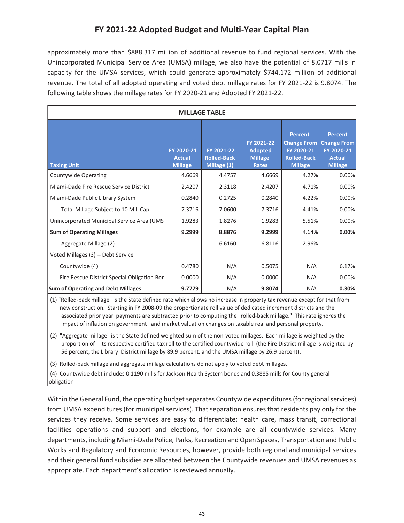approximately more than \$888.317 million of additional revenue to fund regional services. With the Unincorporated Municipal Service Area (UMSA) millage, we also have the potential of 8.0717 mills in capacity for the UMSA services, which could generate approximately \$744.172 million of additional revenue. The total of all adopted operating and voted debt millage rates for FY 2021-22 is 9.8074. The following table shows the millage rates for FY 2020-21 and Adopted FY 2021-22.

| <b>MILLAGE TABLE</b>                        |                                               |                                                 |                                                                |                                                                                            |                                                                                       |  |  |  |  |  |
|---------------------------------------------|-----------------------------------------------|-------------------------------------------------|----------------------------------------------------------------|--------------------------------------------------------------------------------------------|---------------------------------------------------------------------------------------|--|--|--|--|--|
| <b>Taxing Unit</b>                          | FY 2020-21<br><b>Actual</b><br><b>Millage</b> | FY 2021-22<br><b>Rolled-Back</b><br>Millage (1) | FY 2021-22<br><b>Adopted</b><br><b>Millage</b><br><b>Rates</b> | <b>Percent</b><br><b>Change From</b><br>FY 2020-21<br><b>Rolled-Back</b><br><b>Millage</b> | <b>Percent</b><br><b>Change From</b><br>FY 2020-21<br><b>Actual</b><br><b>Millage</b> |  |  |  |  |  |
| <b>Countywide Operating</b>                 | 4.6669                                        | 4.4757                                          | 4.6669                                                         | 4.27%                                                                                      | 0.00%                                                                                 |  |  |  |  |  |
| Miami-Dade Fire Rescue Service District     | 2.4207                                        | 2.3118                                          | 2.4207                                                         | 4.71%                                                                                      | 0.00%                                                                                 |  |  |  |  |  |
| Miami-Dade Public Library System            | 0.2840                                        | 0.2725                                          | 0.2840                                                         | 4.22%                                                                                      | 0.00%                                                                                 |  |  |  |  |  |
| Total Millage Subject to 10 Mill Cap        | 7.3716                                        | 7.0600                                          | 7.3716                                                         | 4.41%                                                                                      | 0.00%                                                                                 |  |  |  |  |  |
| Unincorporated Municipal Service Area (UMS  | 1.9283                                        | 1.8276                                          | 1.9283                                                         | 5.51%                                                                                      | 0.00%                                                                                 |  |  |  |  |  |
| <b>Sum of Operating Millages</b>            | 9.2999                                        | 8.8876                                          | 9.2999                                                         | 4.64%                                                                                      | 0.00%                                                                                 |  |  |  |  |  |
| Aggregate Millage (2)                       |                                               | 6.6160                                          | 6.8116                                                         | 2.96%                                                                                      |                                                                                       |  |  |  |  |  |
| Voted Millages (3) -- Debt Service          |                                               |                                                 |                                                                |                                                                                            |                                                                                       |  |  |  |  |  |
| Countywide (4)                              | 0.4780                                        | N/A                                             | 0.5075                                                         | N/A                                                                                        | 6.17%                                                                                 |  |  |  |  |  |
| Fire Rescue District Special Obligation Bor | 0.0000                                        | N/A                                             | 0.0000                                                         | N/A                                                                                        | 0.00%                                                                                 |  |  |  |  |  |
| <b>Sum of Operating and Debt Millages</b>   | 9.7779                                        | N/A                                             | 9.8074                                                         | N/A                                                                                        | 0.30%                                                                                 |  |  |  |  |  |

 (1) "Rolled-back millage" is the State defined rate which allows no increase in property tax revenue except for that from new construction. Starting in FY 2008-09 the proportionate roll value of dedicated increment districts and the associated prior year payments are subtracted prior to computing the "rolled-back millage." This rate ignores the impact of inflation on government and market valuation changes on taxable real and personal property.

 (2) "Aggregate millage" is the State defined weighted sum of the non-voted millages. Each millage is weighted by the proportion of its respective certified tax roll to the certified countywide roll (the Fire District millage is weighted by 56 percent, the Library District millage by 89.9 percent, and the UMSA millage by 26.9 percent).

(3) Rolled-back millage and aggregate millage calculations do not apply to voted debt millages.

 (4) Countywide debt includes 0.1190 mills for Jackson Health System bonds and 0.3885 mills for County general obligation

Within the General Fund, the operating budget separates Countywide expenditures (for regional services) from UMSA expenditures (for municipal services). That separation ensures that residents pay only for the services they receive. Some services are easy to differentiate: health care, mass transit, correctional facilities operations and support and elections, for example are all countywide services. Many departments, including Miami-Dade Police, Parks, Recreation and Open Spaces, Transportation and Public Works and Regulatory and Economic Resources, however, provide both regional and municipal services and their general fund subsidies are allocated between the Countywide revenues and UMSA revenues as appropriate. Each department's allocation is reviewed annually.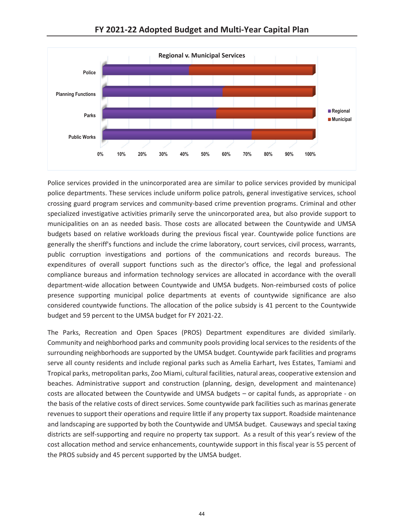



Police services provided in the unincorporated area are similar to police services provided by municipal police departments. These services include uniform police patrols, general investigative services, school crossing guard program services and community-based crime prevention programs. Criminal and other specialized investigative activities primarily serve the unincorporated area, but also provide support to municipalities on an as needed basis. Those costs are allocated between the Countywide and UMSA budgets based on relative workloads during the previous fiscal year. Countywide police functions are generally the sheriff's functions and include the crime laboratory, court services, civil process, warrants, public corruption investigations and portions of the communications and records bureaus. The expenditures of overall support functions such as the director's office, the legal and professional compliance bureaus and information technology services are allocated in accordance with the overall department-wide allocation between Countywide and UMSA budgets. Non-reimbursed costs of police presence supporting municipal police departments at events of countywide significance are also considered countywide functions. The allocation of the police subsidy is 41 percent to the Countywide budget and 59 percent to the UMSA budget for FY 2021-22.

The Parks, Recreation and Open Spaces (PROS) Department expenditures are divided similarly. Community and neighborhood parks and community pools providing local services to the residents of the surrounding neighborhoods are supported by the UMSA budget. Countywide park facilities and programs serve all county residents and include regional parks such as Amelia Earhart, Ives Estates, Tamiami and Tropical parks, metropolitan parks, Zoo Miami, cultural facilities, natural areas, cooperative extension and beaches. Administrative support and construction (planning, design, development and maintenance) costs are allocated between the Countywide and UMSA budgets – or capital funds, as appropriate - on the basis of the relative costs of direct services. Some countywide park facilities such as marinas generate revenues to support their operations and require little if any property tax support. Roadside maintenance and landscaping are supported by both the Countywide and UMSA budget. Causeways and special taxing districts are self-supporting and require no property tax support. As a result of this year's review of the cost allocation method and service enhancements, countywide support in this fiscal year is 55 percent of the PROS subsidy and 45 percent supported by the UMSA budget.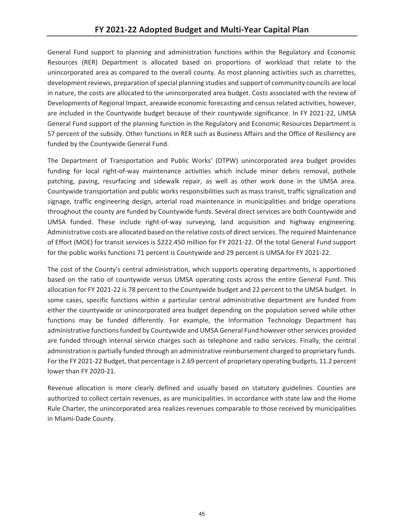General Fund support to planning and administration functions within the Regulatory and Economic Resources (RER) Department is allocated based on proportions of workload that relate to the unincorporated area as compared to the overall county. As most planning activities such as charrettes, development reviews, preparation of special planning studies and support of community councils are local in nature, the costs are allocated to the unincorporated area budget. Costs associated with the review of Developments of Regional Impact, areawide economic forecasting and census related activities, however, are included in the Countywide budget because of their countywide significance. In FY 2021-22, UMSA General Fund support of the planning function in the Regulatory and Economic Resources Department is 57 percent of the subsidy. Other functions in RER such as Business Affairs and the Office of Resiliency are funded by the Countywide General Fund.

The Department of Transportation and Public Works' (DTPW) unincorporated area budget provides funding for local right-of-way maintenance activities which include minor debris removal, pothole patching, paving, resurfacing and sidewalk repair, as well as other work done in the UMSA area. Countywide transportation and public works responsibilities such as mass transit, traffic signalization and signage, traffic engineering design, arterial road maintenance in municipalities and bridge operations throughout the county are funded by Countywide funds. Several direct services are both Countywide and UMSA funded. These include right-of-way surveying, land acquisition and highway engineering. Administrative costs are allocated based on the relative costs of direct services. The required Maintenance of Effort (MOE) for transit services is \$222.450 million for FY 2021-22. Of the total General Fund support for the public works functions 71 percent is Countywide and 29 percent is UMSA for FY 2021-22.

The cost of the County's central administration, which supports operating departments, is apportioned based on the ratio of countywide versus UMSA operating costs across the entire General Fund. This allocation for FY 2021-22 is 78 percent to the Countywide budget and 22 percent to the UMSA budget. In some cases, specific functions within a particular central administrative department are funded from either the countywide or unincorporated area budget depending on the population served while other functions may be funded differently. For example, the Information Technology Department has administrative functions funded by Countywide and UMSA General Fund however other services provided are funded through internal service charges such as telephone and radio services. Finally, the central administration is partially funded through an administrative reimbursement charged to proprietary funds. For the FY 2021-22 Budget, that percentage is 2.69 percent of proprietary operating budgets, 11.2 percent lower than FY 2020-21.

Revenue allocation is more clearly defined and usually based on statutory guidelines. Counties are authorized to collect certain revenues, as are municipalities. In accordance with state law and the Home Rule Charter, the unincorporated area realizes revenues comparable to those received by municipalities in Miami-Dade County.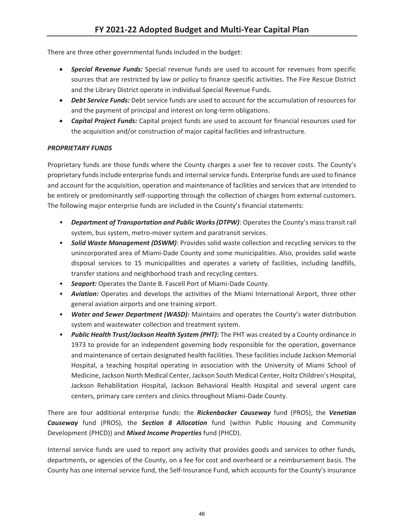There are three other governmental funds included in the budget:

- **Special Revenue Funds:** Special revenue funds are used to account for revenues from specific sources that are restricted by law or policy to finance specific activities. The Fire Rescue District and the Library District operate in individual Special Revenue Funds.
- **Debt Service Funds:** Debt service funds are used to account for the accumulation of resources for and the payment of principal and interest on long-term obligations.
- **Capital Project Funds:** Capital project funds are used to account for financial resources used for the acquisition and/or construction of major capital facilities and infrastructure.

## *PROPRIETARY FUNDS*

Proprietary funds are those funds where the County charges a user fee to recover costs. The County's proprietary funds include enterprise funds and internal service funds. Enterprise funds are used to finance and account for the acquisition, operation and maintenance of facilities and services that are intended to be entirely or predominantly self-supporting through the collection of charges from external customers. The following major enterprise funds are included in the County's financial statements:

- *Department of Transportation and Public Works (DTPW)*: Operates the County's mass transit rail system, bus system, metro-mover system and paratransit services.
- *Solid Waste Management (DSWM)*: Provides solid waste collection and recycling services to the unincorporated area of Miami-Dade County and some municipalities. Also, provides solid waste disposal services to 15 municipalities and operates a variety of facilities, including landfills, transfer stations and neighborhood trash and recycling centers.
- *Seaport:* Operates the Dante B. Fascell Port of Miami-Dade County.
- *Aviation:* Operates and develops the activities of the Miami International Airport, three other general aviation airports and one training airport.
- *Water and Sewer Department (WASD):* Maintains and operates the County's water distribution system and wastewater collection and treatment system.
- *Public Health Trust/Jackson Health System (PHT):* The PHT was created by a County ordinance in 1973 to provide for an independent governing body responsible for the operation, governance and maintenance of certain designated health facilities. These facilities include Jackson Memorial Hospital, a teaching hospital operating in association with the University of Miami School of Medicine, Jackson North Medical Center, Jackson South Medical Center, Holtz Children's Hospital, Jackson Rehabilitation Hospital, Jackson Behavioral Health Hospital and several urgent care centers, primary care centers and clinics throughout Miami-Dade County.

There are four additional enterprise funds: the *Rickenbacker Causeway* fund (PROS), the *Venetian Causeway* fund (PROS), the *Section 8 Allocation* fund (within Public Housing and Community Development (PHCD)) and *Mixed Income Properties* fund (PHCD).

Internal service funds are used to report any activity that provides goods and services to other funds, departments, or agencies of the County, on a fee for cost and overheard or a reimbursement basis. The County has one internal service fund, the Self-Insurance Fund, which accounts for the County's insurance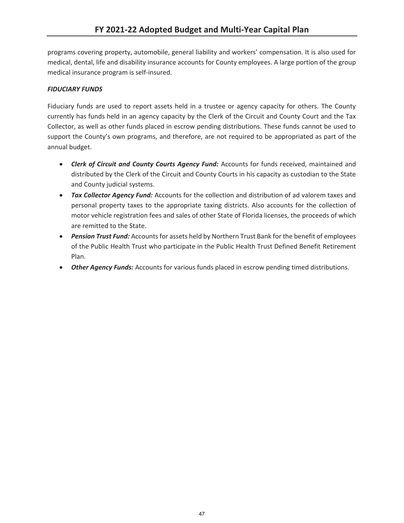programs covering property, automobile, general liability and workers' compensation. It is also used for medical, dental, life and disability insurance accounts for County employees. A large portion of the group medical insurance program is self-insured.

## *FIDUCIARY FUNDS*

Fiduciary funds are used to report assets held in a trustee or agency capacity for others. The County currently has funds held in an agency capacity by the Clerk of the Circuit and County Court and the Tax Collector, as well as other funds placed in escrow pending distributions. These funds cannot be used to support the County's own programs, and therefore, are not required to be appropriated as part of the annual budget.

- **•** Clerk of Circuit and County Courts Agency Fund: Accounts for funds received, maintained and distributed by the Clerk of the Circuit and County Courts in his capacity as custodian to the State and County judicial systems.
- **Tax Collector Agency Fund:** Accounts for the collection and distribution of ad valorem taxes and personal property taxes to the appropriate taxing districts. Also accounts for the collection of motor vehicle registration fees and sales of other State of Florida licenses, the proceeds of which are remitted to the State.
- **Pension Trust Fund:** Accounts for assets held by Northern Trust Bank for the benefit of employees of the Public Health Trust who participate in the Public Health Trust Defined Benefit Retirement Plan.
- **Other Agency Funds:** Accounts for various funds placed in escrow pending timed distributions.